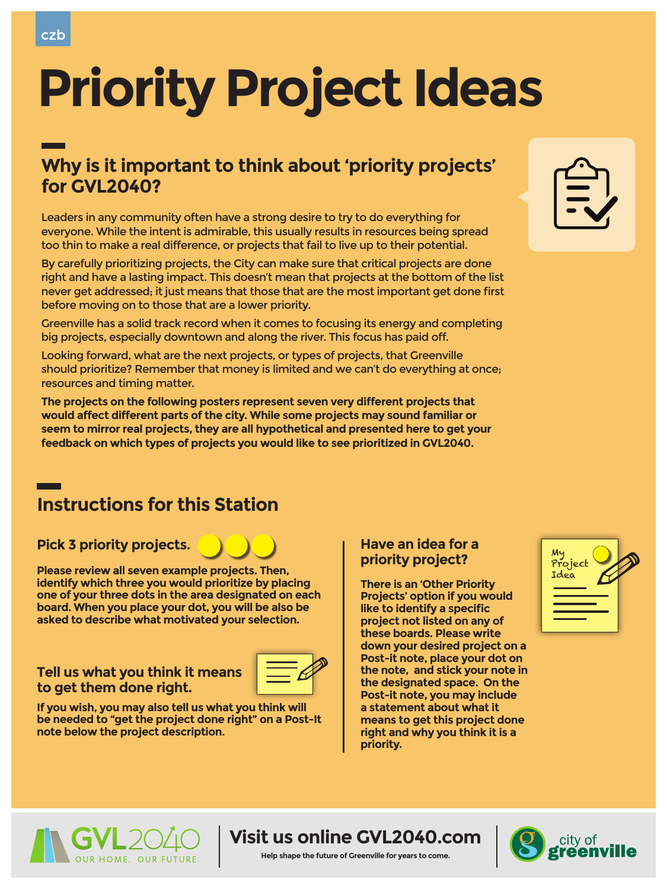

# **Priority Project Ideas**

### **Why is it important to think about 'priority projects' for GVL2040?**

### **Visit us online GVL2040.com**

#### **Help shape the future of Greenville for years to come.**



Leaders in any community often have a strong desire to try to do everything for everyone. While the intent is admirable, this usually results in resources being spread too thin to make a real difference, or projects that fail to live up to their potential.

By carefully prioritizing projects, the City can make sure that critical projects are done right and have a lasting impact. This doesn't mean that projects at the bottom of the list never get addressed; it just means that those that are the most important get done first before moving on to those that are a lower priority.



Greenville has a solid track record when it comes to focusing its energy and completing big projects, especially downtown and along the river. This focus has paid off.

Looking forward, what are the next projects, or types of projects, that Greenville should prioritize? Remember that money is limited and we can't do everything at once; resources and timing matter.

**The projects on the following posters represent seven very different projects that would affect different parts of the city. While some projects may sound familiar or seem to mirror real projects, they are all hypothetical and presented here to get your feedback on which types of projects you would like to see prioritized in GVL2040.** 

### **Instructions for this Station**

Pick 3 priority projects. **Here Pick 3 priority projects.** A **number of a set of a set of a** 

**There is an 'Other Priority Projects' option if you would like to identify a specific project not listed on any of these boards. Please write down your desired project on a Post-it note, place your dot on the note, and stick your note in the designated space. On the Post-it note, you may include a statement about what it means to get this project done right and why you think it is a priority.**

 $\blacksquare$ 





**Please review all seven example projects. Then, identify which three you would prioritize by placing one of your three dots in the area designated on each board. When you place your dot, you will be also be asked to describe what motivated your selection.** 

## **priority project?**

### **Tell us what you think it means to get them done right.**



**If you wish, you may also tell us what you think will be needed to "get the project done right" on a Post-It note below the project description.** 



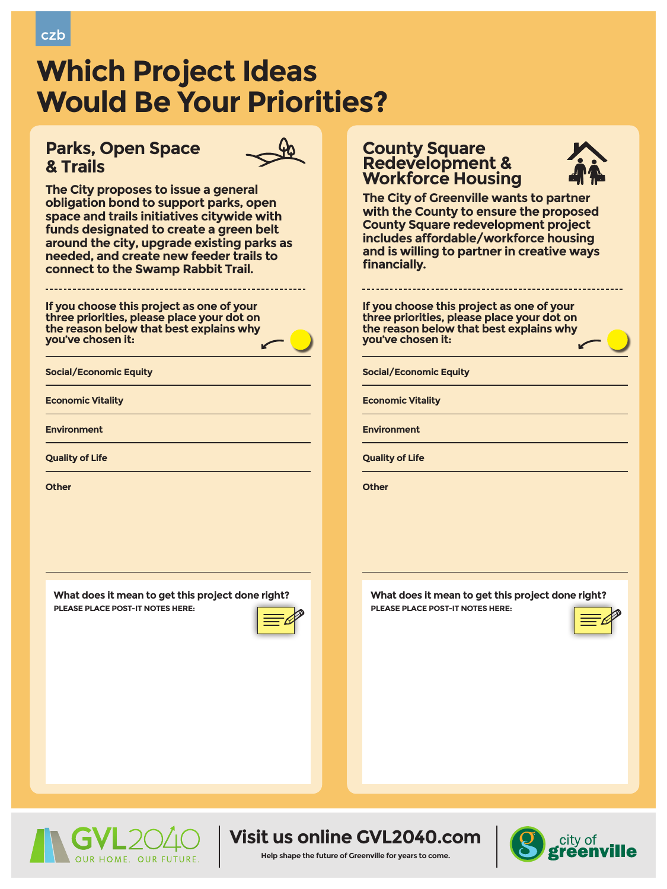





#### **Help shape the future of Greenville for years to come.**





# **Which Project Ideas Would Be Your Priorities?**

### **Parks, Open Space & Trails**



**The City proposes to issue a general obligation bond to support parks, open space and trails initiatives citywide with funds designated to create a green belt around the city, upgrade existing parks as needed, and create new feeder trails to connect to the Swamp Rabbit Trail.**

**Social/Economic Equity**

**Economic Vitality** 

**Environment**

**Quality of Life** 

**Other**

**If you choose this project as one of your three priorities, please place your dot on the reason below that best explains why you've chosen it:**

### **County Square Redevelopment & Workforce Housing**



**The City of Greenville wants to partner with the County to ensure the proposed County Square redevelopment project includes affordable/workforce housing and is willing to partner in creative ways financially.** 

**What does it mean to get this project done right? PLEASE PLACE POST-IT NOTES HERE:**



**Social/Economic Equity**

**Economic Vitality** 

**Environment**

**Quality of Life** 

**Other**

**If you choose this project as one of your three priorities, please place your dot on the reason below that best explains why you've chosen it:**

**What does it mean to get this project done right? PLEASE PLACE POST-IT NOTES HERE:**

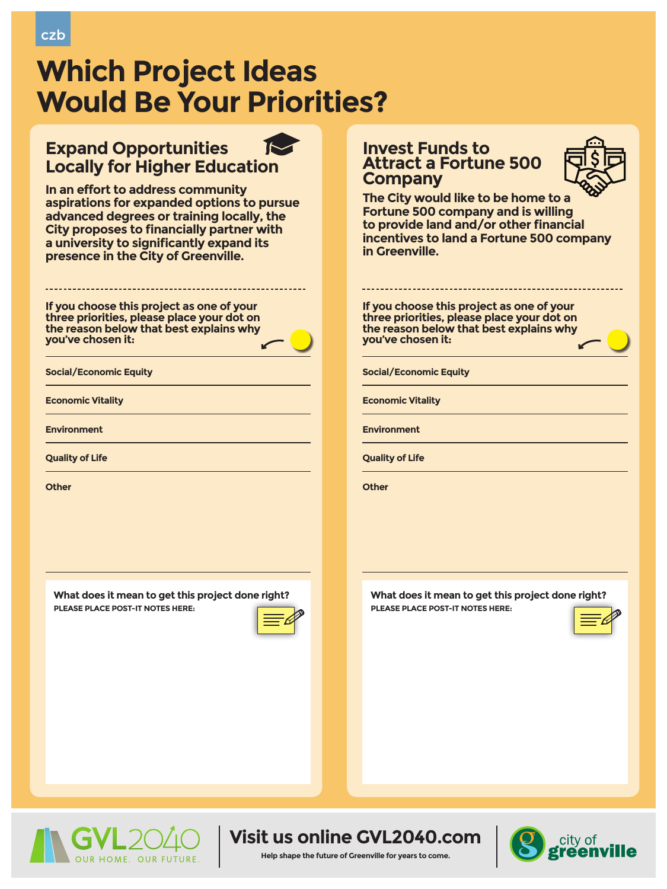





#### **Help shape the future of Greenville for years to come.**



### **Expand Opportunities Locally for Higher Education**

**In an effort to address community aspirations for expanded options to pursue advanced degrees or training locally, the City proposes to financially partner with a university to significantly expand its presence in the City of Greenville.**

### **Invest Funds to Attract a Fortune 500 Company**



**The City would like to be home to a Fortune 500 company and is willing to provide land and/or other financial incentives to land a Fortune 500 company in Greenville.** 

**Social/Economic Equity**

**Economic Vitality** 

**Environment**

**Quality of Life** 

**Other**

**If you choose this project as one of your three priorities, please place your dot on the reason below that best explains why you've chosen it:**

**What does it mean to get this project done right? PLEASE PLACE POST-IT NOTES HERE:**



**Social/Economic Equity**

**Economic Vitality** 

**Environment**

**Quality of Life** 

**Other**

**If you choose this project as one of your three priorities, please place your dot on the reason below that best explains why you've chosen it:**

**What does it mean to get this project done right? PLEASE PLACE POST-IT NOTES HERE:**





# **Which Project Ideas Would Be Your Priorities?**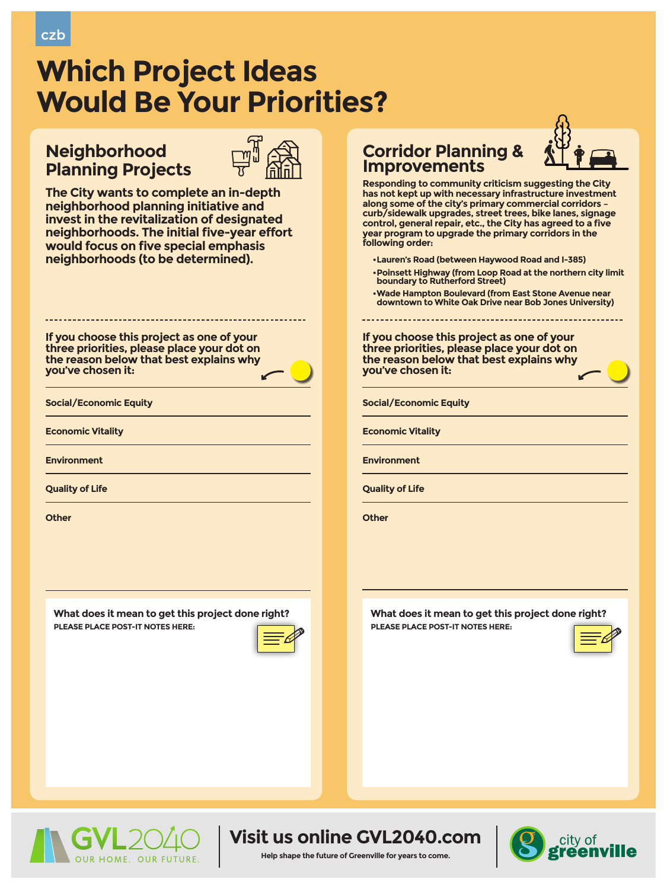### **Visit us online GVL2040.com**

#### **Help shape the future of Greenville for years to come.**



### **Neighborhood Planning Projects**



**The City wants to complete an in-depth neighborhood planning initiative and invest in the revitalization of designated neighborhoods. The initial five-year effort would focus on five special emphasis neighborhoods (to be determined).** 

### **Corridor Planning & Improvements**

**Responding to community criticism suggesting the City has not kept up with necessary infrastructure investment along some of the city's primary commercial corridors – curb/sidewalk upgrades, street trees, bike lanes, signage control, general repair, etc., the City has agreed to a five year program to upgrade the primary corridors in the following order:**

- **•Lauren's Road (between Haywood Road and I-385)**
- **•Poinsett Highway (from Loop Road at the northern city limit**
- **boundary to Rutherford Street)**
- **•Wade Hampton Boulevard (from East Stone Avenue near downtown to White Oak Drive near Bob Jones University)**

**Social/Economic Equity**

**Economic Vitality** 

**Environment**

**Quality of Life** 

#### **Other**

**If you choose this project as one of your three priorities, please place your dot on the reason below that best explains why you've chosen it:**

**What does it mean to get this project done right? PLEASE PLACE POST-IT NOTES HERE:**



**Social/Economic Equity**

**Economic Vitality** 

**Environment**

**Quality of Life** 

**Other**

**If you choose this project as one of your three priorities, please place your dot on the reason below that best explains why you've chosen it:**

**What does it mean to get this project done right? PLEASE PLACE POST-IT NOTES HERE:**









# **Which Project Ideas Would Be Your Priorities?**